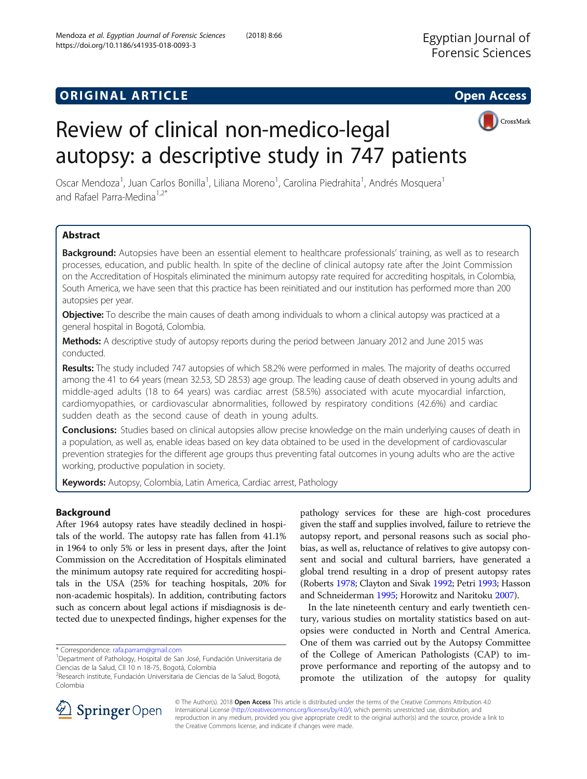https://doi.org/10.1186/s41935-018-0093-3

Mendoza et al. Egyptian Journal of Forensic Sciences (2018) 8:66



# Review of clinical non-medico-legal autopsy: a descriptive study in 747 patients

Oscar Mendoza<sup>1</sup>, Juan Carlos Bonilla<sup>1</sup>, Liliana Moreno<sup>1</sup>, Carolina Piedrahita<sup>1</sup>, Andrés Mosquera<sup>1</sup> and Rafael Parra-Medina<sup>1,2\*</sup>

# Abstract

Background: Autopsies have been an essential element to healthcare professionals' training, as well as to research processes, education, and public health. In spite of the decline of clinical autopsy rate after the Joint Commission on the Accreditation of Hospitals eliminated the minimum autopsy rate required for accrediting hospitals, in Colombia, South America, we have seen that this practice has been reinitiated and our institution has performed more than 200 autopsies per year.

**Objective:** To describe the main causes of death among individuals to whom a clinical autopsy was practiced at a general hospital in Bogotá, Colombia.

Methods: A descriptive study of autopsy reports during the period between January 2012 and June 2015 was conducted.

Results: The study included 747 autopsies of which 58.2% were performed in males. The majority of deaths occurred among the 41 to 64 years (mean 32.53, SD 28.53) age group. The leading cause of death observed in young adults and middle-aged adults (18 to 64 years) was cardiac arrest (58.5%) associated with acute myocardial infarction, cardiomyopathies, or cardiovascular abnormalities, followed by respiratory conditions (42.6%) and cardiac sudden death as the second cause of death in young adults.

**Conclusions:** Studies based on clinical autopsies allow precise knowledge on the main underlying causes of death in a population, as well as, enable ideas based on key data obtained to be used in the development of cardiovascular prevention strategies for the different age groups thus preventing fatal outcomes in young adults who are the active working, productive population in society.

Keywords: Autopsy, Colombia, Latin America, Cardiac arrest, Pathology

# Background

After 1964 autopsy rates have steadily declined in hospitals of the world. The autopsy rate has fallen from 41.1% in 1964 to only 5% or less in present days, after the Joint Commission on the Accreditation of Hospitals eliminated the minimum autopsy rate required for accrediting hospitals in the USA (25% for teaching hospitals, 20% for non-academic hospitals). In addition, contributing factors such as concern about legal actions if misdiagnosis is detected due to unexpected findings, higher expenses for the

pathology services for these are high-cost procedures given the staff and supplies involved, failure to retrieve the autopsy report, and personal reasons such as social phobias, as well as, reluctance of relatives to give autopsy consent and social and cultural barriers, have generated a global trend resulting in a drop of present autopsy rates (Roberts [1978](#page-6-0); Clayton and Sivak [1992;](#page-5-0) Petri [1993](#page-6-0); Hasson and Schneiderman [1995](#page-5-0); Horowitz and Naritoku [2007\)](#page-5-0).

In the late nineteenth century and early twentieth century, various studies on mortality statistics based on autopsies were conducted in North and Central America. One of them was carried out by the Autopsy Committee of the College of American Pathologists (CAP) to improve performance and reporting of the autopsy and to promote the utilization of the autopsy for quality



© The Author(s). 2018 Open Access This article is distributed under the terms of the Creative Commons Attribution 4.0 International License ([http://creativecommons.org/licenses/by/4.0/\)](http://creativecommons.org/licenses/by/4.0/), which permits unrestricted use, distribution, and reproduction in any medium, provided you give appropriate credit to the original author(s) and the source, provide a link to the Creative Commons license, and indicate if changes were made.

<sup>\*</sup> Correspondence: [rafa.parram@gmail.com](mailto:rafa.parram@gmail.com) <sup>1</sup>

Department of Pathology, Hospital de San José, Fundación Universitaria de Ciencias de la Salud, Cll 10 n 18-75, Bogotá, Colombia

<sup>2</sup> Research institute, Fundación Universitaria de Ciencias de la Salud, Bogotá, Colombia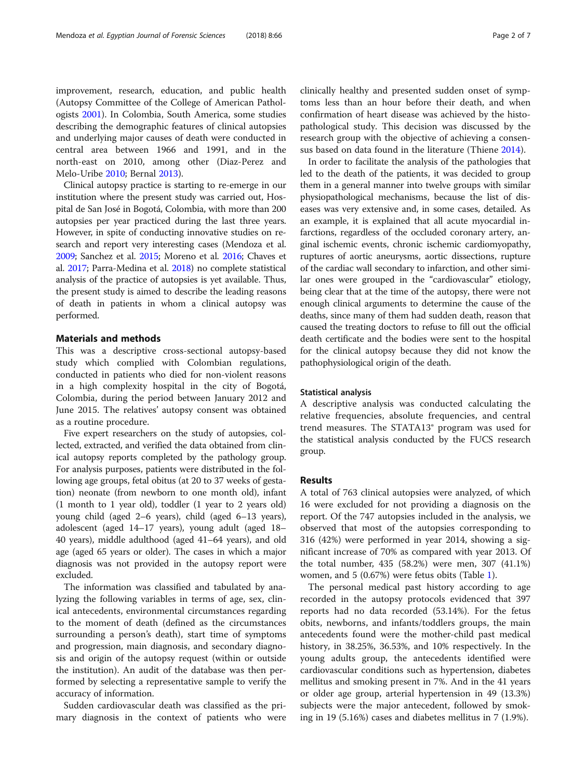improvement, research, education, and public health (Autopsy Committee of the College of American Pathologists [2001](#page-5-0)). In Colombia, South America, some studies describing the demographic features of clinical autopsies and underlying major causes of death were conducted in central area between 1966 and 1991, and in the north-east on 2010, among other (Diaz-Perez and Melo-Uribe [2010;](#page-5-0) Bernal [2013\)](#page-5-0).

Clinical autopsy practice is starting to re-emerge in our institution where the present study was carried out, Hospital de San José in Bogotá, Colombia, with more than 200 autopsies per year practiced during the last three years. However, in spite of conducting innovative studies on research and report very interesting cases (Mendoza et al. [2009;](#page-5-0) Sanchez et al. [2015;](#page-6-0) Moreno et al. [2016](#page-5-0); Chaves et al. [2017](#page-5-0); Parra-Medina et al. [2018\)](#page-6-0) no complete statistical analysis of the practice of autopsies is yet available. Thus, the present study is aimed to describe the leading reasons of death in patients in whom a clinical autopsy was performed.

# Materials and methods

This was a descriptive cross-sectional autopsy-based study which complied with Colombian regulations, conducted in patients who died for non-violent reasons in a high complexity hospital in the city of Bogotá, Colombia, during the period between January 2012 and June 2015. The relatives' autopsy consent was obtained as a routine procedure.

Five expert researchers on the study of autopsies, collected, extracted, and verified the data obtained from clinical autopsy reports completed by the pathology group. For analysis purposes, patients were distributed in the following age groups, fetal obitus (at 20 to 37 weeks of gestation) neonate (from newborn to one month old), infant (1 month to 1 year old), toddler (1 year to 2 years old) young child (aged 2–6 years), child (aged 6–13 years), adolescent (aged 14–17 years), young adult (aged 18– 40 years), middle adulthood (aged 41–64 years), and old age (aged 65 years or older). The cases in which a major diagnosis was not provided in the autopsy report were excluded.

The information was classified and tabulated by analyzing the following variables in terms of age, sex, clinical antecedents, environmental circumstances regarding to the moment of death (defined as the circumstances surrounding a person's death), start time of symptoms and progression, main diagnosis, and secondary diagnosis and origin of the autopsy request (within or outside the institution). An audit of the database was then performed by selecting a representative sample to verify the accuracy of information.

Sudden cardiovascular death was classified as the primary diagnosis in the context of patients who were clinically healthy and presented sudden onset of symptoms less than an hour before their death, and when confirmation of heart disease was achieved by the histopathological study. This decision was discussed by the research group with the objective of achieving a consensus based on data found in the literature (Thiene [2014](#page-6-0)).

In order to facilitate the analysis of the pathologies that led to the death of the patients, it was decided to group them in a general manner into twelve groups with similar physiopathological mechanisms, because the list of diseases was very extensive and, in some cases, detailed. As an example, it is explained that all acute myocardial infarctions, regardless of the occluded coronary artery, anginal ischemic events, chronic ischemic cardiomyopathy, ruptures of aortic aneurysms, aortic dissections, rupture of the cardiac wall secondary to infarction, and other similar ones were grouped in the "cardiovascular" etiology, being clear that at the time of the autopsy, there were not enough clinical arguments to determine the cause of the deaths, since many of them had sudden death, reason that caused the treating doctors to refuse to fill out the official death certificate and the bodies were sent to the hospital for the clinical autopsy because they did not know the pathophysiological origin of the death.

#### Statistical analysis

A descriptive analysis was conducted calculating the relative frequencies, absolute frequencies, and central trend measures. The STATA13® program was used for the statistical analysis conducted by the FUCS research group.

## Results

A total of 763 clinical autopsies were analyzed, of which 16 were excluded for not providing a diagnosis on the report. Of the 747 autopsies included in the analysis, we observed that most of the autopsies corresponding to 316 (42%) were performed in year 2014, showing a significant increase of 70% as compared with year 2013. Of the total number, 435 (58.2%) were men, 307 (41.1%) women, and 5 (0.67%) were fetus obits (Table [1](#page-2-0)).

The personal medical past history according to age recorded in the autopsy protocols evidenced that 397 reports had no data recorded (53.14%). For the fetus obits, newborns, and infants/toddlers groups, the main antecedents found were the mother-child past medical history, in 38.25%, 36.53%, and 10% respectively. In the young adults group, the antecedents identified were cardiovascular conditions such as hypertension, diabetes mellitus and smoking present in 7%. And in the 41 years or older age group, arterial hypertension in 49 (13.3%) subjects were the major antecedent, followed by smoking in 19 (5.16%) cases and diabetes mellitus in 7 (1.9%).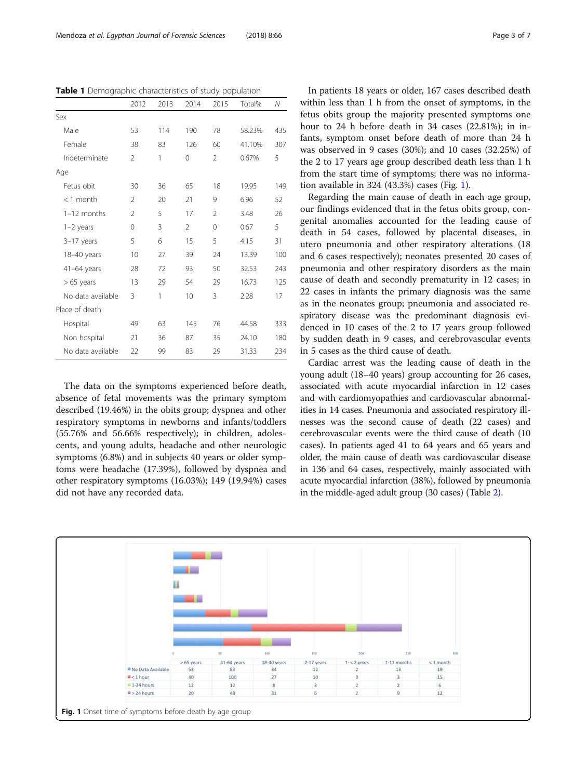<span id="page-2-0"></span>Table 1 Demographic characteristics of study population

|                   | 2012           | 2013 | 2014 | 2015           | Total% | Ν   |
|-------------------|----------------|------|------|----------------|--------|-----|
| Sex               |                |      |      |                |        |     |
| Male              | 53             | 114  | 190  | 78             | 58.23% | 435 |
| Female            | 38             | 83   | 126  | 60             | 41.10% | 307 |
| Indeterminate     | $\mathfrak{D}$ | 1    | 0    | $\mathfrak{D}$ | 0.67%  | 5   |
| Age               |                |      |      |                |        |     |
| Fetus obit        | 30             | 36   | 65   | 18             | 19.95  | 149 |
| $<$ 1 month       | $\mathfrak{D}$ | 20   | 21   | 9              | 6.96   | 52  |
| $1-12$ months     | $\mathfrak{D}$ | 5    | 17   | $\mathfrak{D}$ | 3.48   | 26  |
| $1-2$ years       | $\Omega$       | 3    | 2    | $\Omega$       | 0.67   | 5   |
| 3-17 years        | 5              | 6    | 15   | 5              | 4.15   | 31  |
| 18-40 years       | 10             | 27   | 39   | 24             | 13.39  | 100 |
| $41-64$ years     | 28             | 72   | 93   | 50             | 32.53  | 243 |
| $>65$ years       | 13             | 29   | 54   | 29             | 16.73  | 125 |
| No data available | 3              | 1    | 10   | 3              | 2.28   | 17  |
| Place of death    |                |      |      |                |        |     |
| Hospital          | 49             | 63   | 145  | 76             | 44.58  | 333 |
| Non hospital      | 21             | 36   | 87   | 35             | 24.10  | 180 |
| No data available | 22             | 99   | 83   | 29             | 31.33  | 234 |

The data on the symptoms experienced before death, absence of fetal movements was the primary symptom described (19.46%) in the obits group; dyspnea and other respiratory symptoms in newborns and infants/toddlers (55.76% and 56.66% respectively); in children, adolescents, and young adults, headache and other neurologic symptoms (6.8%) and in subjects 40 years or older symptoms were headache (17.39%), followed by dyspnea and other respiratory symptoms (16.03%); 149 (19.94%) cases did not have any recorded data.

In patients 18 years or older, 167 cases described death within less than 1 h from the onset of symptoms, in the fetus obits group the majority presented symptoms one hour to 24 h before death in 34 cases (22.81%); in infants, symptom onset before death of more than 24 h was observed in 9 cases (30%); and 10 cases (32.25%) of the 2 to 17 years age group described death less than 1 h from the start time of symptoms; there was no information available in 324 (43.3%) cases (Fig. 1).

Regarding the main cause of death in each age group, our findings evidenced that in the fetus obits group, congenital anomalies accounted for the leading cause of death in 54 cases, followed by placental diseases, in utero pneumonia and other respiratory alterations (18 and 6 cases respectively); neonates presented 20 cases of pneumonia and other respiratory disorders as the main cause of death and secondly prematurity in 12 cases; in 22 cases in infants the primary diagnosis was the same as in the neonates group; pneumonia and associated respiratory disease was the predominant diagnosis evidenced in 10 cases of the 2 to 17 years group followed by sudden death in 9 cases, and cerebrovascular events in 5 cases as the third cause of death.

Cardiac arrest was the leading cause of death in the young adult (18–40 years) group accounting for 26 cases, associated with acute myocardial infarction in 12 cases and with cardiomyopathies and cardiovascular abnormalities in 14 cases. Pneumonia and associated respiratory illnesses was the second cause of death (22 cases) and cerebrovascular events were the third cause of death (10 cases). In patients aged 41 to 64 years and 65 years and older, the main cause of death was cardiovascular disease in 136 and 64 cases, respectively, mainly associated with acute myocardial infarction (38%), followed by pneumonia in the middle-aged adult group (30 cases) (Table [2](#page-3-0)).

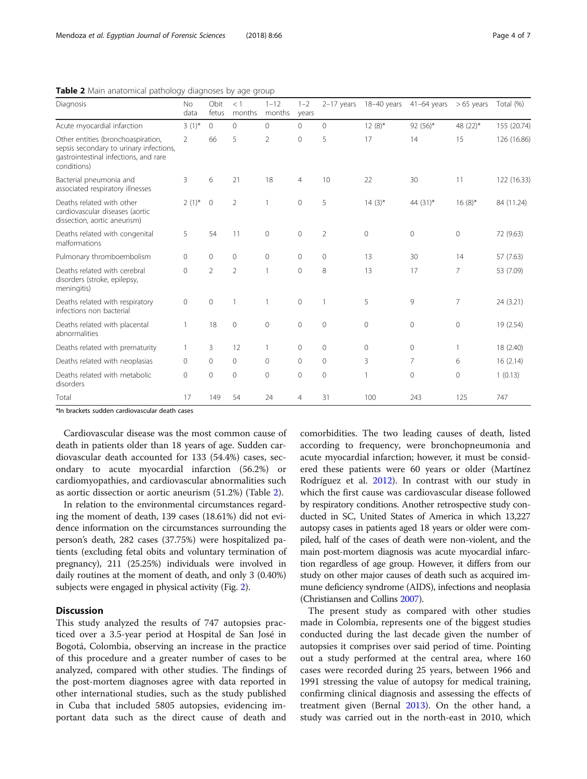<span id="page-3-0"></span>Table 2 Main anatomical pathology diagnoses by age group

| Diagnosis                                                                                                                             | <b>No</b><br>data | Obit<br>fetus  | $<$ 1<br>months | $1 - 12$<br>months | $1 - 2$<br>years |                | $2-17$ years 18-40 years | $41-64$ years  | $>65$ years    | Total (%)   |
|---------------------------------------------------------------------------------------------------------------------------------------|-------------------|----------------|-----------------|--------------------|------------------|----------------|--------------------------|----------------|----------------|-------------|
| Acute myocardial infarction                                                                                                           | $3(1)^{*}$        | $\mathbf{0}$   | $\circ$         | $\Omega$           | $\mathbf{0}$     | $\overline{0}$ | $12(8)$ *                | $92(56)^*$     | 48 (22)*       | 155 (20.74) |
| Other entities (bronchoaspiration,<br>sepsis secondary to urinary infections,<br>gastrointestinal infections, and rare<br>conditions) | 2                 | 66             | 5               | $\overline{2}$     | $\mathbf{0}$     | 5              | 17                       | 14             | 15             | 126 (16.86) |
| Bacterial pneumonia and<br>associated respiratory illnesses                                                                           | 3                 | 6              | 21              | 18                 | $\overline{4}$   | 10             | 22                       | 30             | 11             | 122 (16.33) |
| Deaths related with other<br>cardiovascular diseases (aortic<br>dissection, aortic aneurism)                                          | $2(1)^{*}$        | $\mathbf{0}$   | 2               | $\mathbf{1}$       | 0                | 5              | $14(3)$ *                | 44 $(31)^*$    | $16(8)$ *      | 84 (11.24)  |
| Deaths related with congenital<br>malformations                                                                                       | 5                 | 54             | 11              | $\mathbf{0}$       | $\mathbf{0}$     | $\overline{2}$ | 0                        | $\mathbf{0}$   | $\mathbf{0}$   | 72 (9.63)   |
| Pulmonary thromboembolism                                                                                                             | $\Omega$          | $\mathbf{0}$   | $\mathbf{0}$    | $\Omega$           | $\mathbf{0}$     | $\mathbf{0}$   | 13                       | 30             | 14             | 57 (7.63)   |
| Deaths related with cerebral<br>disorders (stroke, epilepsy,<br>meningitis)                                                           | $\mathbf 0$       | $\overline{2}$ | 2               | $\mathbf{1}$       | $\mathbf 0$      | 8              | 13                       | 17             | 7              | 53 (7.09)   |
| Deaths related with respiratory<br>infections non bacterial                                                                           | 0                 | $\mathbf 0$    | 1               |                    | $\mathbf 0$      | $\mathbf{1}$   | 5                        | 9              | $\overline{7}$ | 24 (3.21)   |
| Deaths related with placental<br>abnormalities                                                                                        | 1                 | 18             | $\mathbf{0}$    | $\Omega$           | $\Omega$         | $\Omega$       | $\Omega$                 | $\mathbf{0}$   | $\mathbf{0}$   | 19 (2.54)   |
| Deaths related with prematurity                                                                                                       | 1                 | 3              | 12              |                    | $\mathbf{0}$     | $\mathbf 0$    | $\Omega$                 | $\mathbf{0}$   | $\mathbf{1}$   | 18 (2.40)   |
| Deaths related with neoplasias                                                                                                        | 0                 | $\overline{0}$ | $\circ$         | $\mathbf{0}$       | $\mathbf{0}$     | $\mathbf 0$    | 3                        | $\overline{7}$ | 6              | 16(2.14)    |
| Deaths related with metabolic<br>disorders                                                                                            | $\mathbf 0$       | $\mathbf 0$    | $\mathbf{0}$    | $\mathbf 0$        | $\mathbf 0$      | $\mathbf 0$    |                          | $\mathbf 0$    | $\mathbf{0}$   | 1(0.13)     |
| Total                                                                                                                                 | 17                | 149            | 54              | 24                 | 4                | 31             | 100                      | 243            | 125            | 747         |

\*In brackets sudden cardiovascular death cases

Cardiovascular disease was the most common cause of death in patients older than 18 years of age. Sudden cardiovascular death accounted for 133 (54.4%) cases, secondary to acute myocardial infarction (56.2%) or cardiomyopathies, and cardiovascular abnormalities such as aortic dissection or aortic aneurism (51.2%) (Table 2).

In relation to the environmental circumstances regarding the moment of death, 139 cases (18.61%) did not evidence information on the circumstances surrounding the person's death, 282 cases (37.75%) were hospitalized patients (excluding fetal obits and voluntary termination of pregnancy), 211 (25.25%) individuals were involved in daily routines at the moment of death, and only 3 (0.40%) subjects were engaged in physical activity (Fig. [2\)](#page-4-0).

# **Discussion**

This study analyzed the results of 747 autopsies practiced over a 3.5-year period at Hospital de San José in Bogotá, Colombia, observing an increase in the practice of this procedure and a greater number of cases to be analyzed, compared with other studies. The findings of the post-mortem diagnoses agree with data reported in other international studies, such as the study published in Cuba that included 5805 autopsies, evidencing important data such as the direct cause of death and comorbidities. The two leading causes of death, listed according to frequency, were bronchopneumonia and acute myocardial infarction; however, it must be considered these patients were 60 years or older (Martínez Rodríguez et al. [2012](#page-5-0)). In contrast with our study in which the first cause was cardiovascular disease followed by respiratory conditions. Another retrospective study conducted in SC, United States of America in which 13,227 autopsy cases in patients aged 18 years or older were compiled, half of the cases of death were non-violent, and the main post-mortem diagnosis was acute myocardial infarction regardless of age group. However, it differs from our study on other major causes of death such as acquired immune deficiency syndrome (AIDS), infections and neoplasia (Christiansen and Collins [2007](#page-5-0)).

The present study as compared with other studies made in Colombia, represents one of the biggest studies conducted during the last decade given the number of autopsies it comprises over said period of time. Pointing out a study performed at the central area, where 160 cases were recorded during 25 years, between 1966 and 1991 stressing the value of autopsy for medical training, confirming clinical diagnosis and assessing the effects of treatment given (Bernal [2013\)](#page-5-0). On the other hand, a study was carried out in the north-east in 2010, which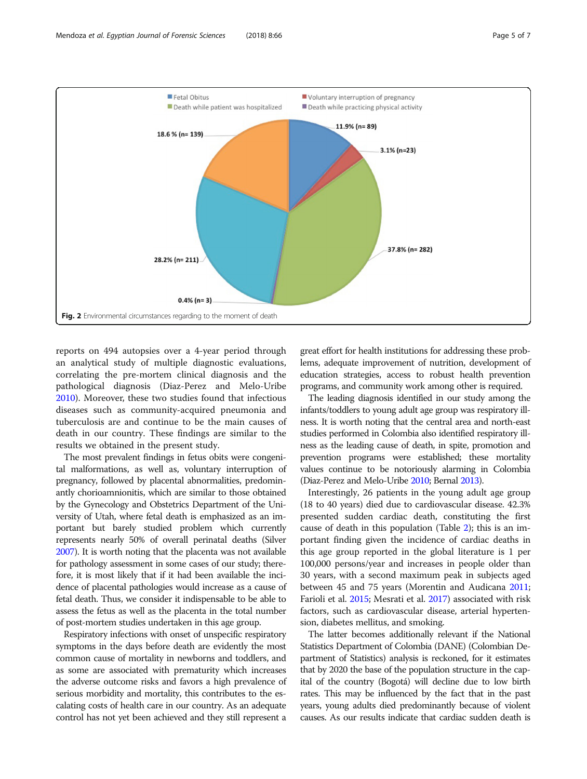<span id="page-4-0"></span>

reports on 494 autopsies over a 4-year period through an analytical study of multiple diagnostic evaluations, correlating the pre-mortem clinical diagnosis and the pathological diagnosis (Diaz-Perez and Melo-Uribe [2010](#page-5-0)). Moreover, these two studies found that infectious diseases such as community-acquired pneumonia and tuberculosis are and continue to be the main causes of death in our country. These findings are similar to the results we obtained in the present study.

The most prevalent findings in fetus obits were congenital malformations, as well as, voluntary interruption of pregnancy, followed by placental abnormalities, predominantly chorioamnionitis, which are similar to those obtained by the Gynecology and Obstetrics Department of the University of Utah, where fetal death is emphasized as an important but barely studied problem which currently represents nearly 50% of overall perinatal deaths (Silver [2007\)](#page-6-0). It is worth noting that the placenta was not available for pathology assessment in some cases of our study; therefore, it is most likely that if it had been available the incidence of placental pathologies would increase as a cause of fetal death. Thus, we consider it indispensable to be able to assess the fetus as well as the placenta in the total number of post-mortem studies undertaken in this age group.

Respiratory infections with onset of unspecific respiratory symptoms in the days before death are evidently the most common cause of mortality in newborns and toddlers, and as some are associated with prematurity which increases the adverse outcome risks and favors a high prevalence of serious morbidity and mortality, this contributes to the escalating costs of health care in our country. As an adequate control has not yet been achieved and they still represent a great effort for health institutions for addressing these problems, adequate improvement of nutrition, development of education strategies, access to robust health prevention programs, and community work among other is required.

The leading diagnosis identified in our study among the infants/toddlers to young adult age group was respiratory illness. It is worth noting that the central area and north-east studies performed in Colombia also identified respiratory illness as the leading cause of death, in spite, promotion and prevention programs were established; these mortality values continue to be notoriously alarming in Colombia (Diaz-Perez and Melo-Uribe [2010;](#page-5-0) Bernal [2013](#page-5-0)).

Interestingly, 26 patients in the young adult age group (18 to 40 years) died due to cardiovascular disease. 42.3% presented sudden cardiac death, constituting the first cause of death in this population (Table [2](#page-3-0)); this is an important finding given the incidence of cardiac deaths in this age group reported in the global literature is 1 per 100,000 persons/year and increases in people older than 30 years, with a second maximum peak in subjects aged between 45 and 75 years (Morentin and Audicana [2011](#page-6-0); Farioli et al. [2015](#page-5-0); Mesrati et al. [2017](#page-5-0)) associated with risk factors, such as cardiovascular disease, arterial hypertension, diabetes mellitus, and smoking.

The latter becomes additionally relevant if the National Statistics Department of Colombia (DANE) (Colombian Department of Statistics) analysis is reckoned, for it estimates that by 2020 the base of the population structure in the capital of the country (Bogotá) will decline due to low birth rates. This may be influenced by the fact that in the past years, young adults died predominantly because of violent causes. As our results indicate that cardiac sudden death is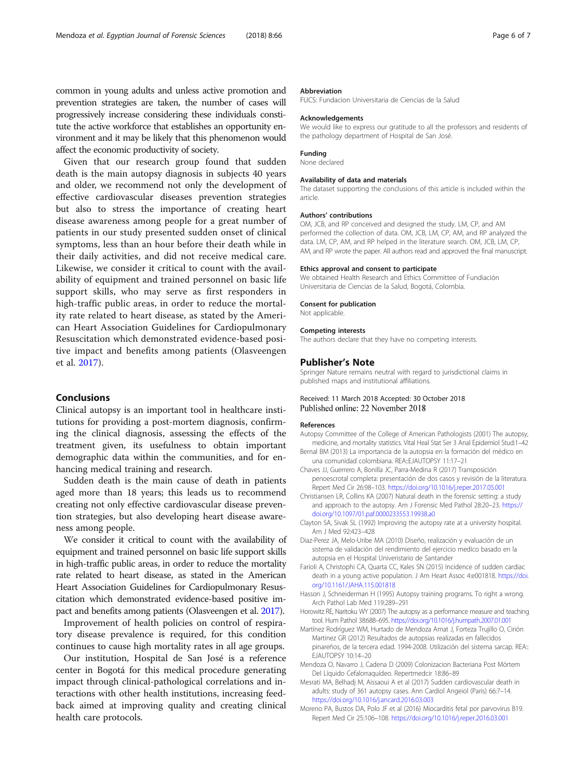<span id="page-5-0"></span>common in young adults and unless active promotion and prevention strategies are taken, the number of cases will progressively increase considering these individuals constitute the active workforce that establishes an opportunity environment and it may be likely that this phenomenon would affect the economic productivity of society.

Given that our research group found that sudden death is the main autopsy diagnosis in subjects 40 years and older, we recommend not only the development of effective cardiovascular diseases prevention strategies but also to stress the importance of creating heart disease awareness among people for a great number of patients in our study presented sudden onset of clinical symptoms, less than an hour before their death while in their daily activities, and did not receive medical care. Likewise, we consider it critical to count with the availability of equipment and trained personnel on basic life support skills, who may serve as first responders in high-traffic public areas, in order to reduce the mortality rate related to heart disease, as stated by the American Heart Association Guidelines for Cardiopulmonary Resuscitation which demonstrated evidence-based positive impact and benefits among patients (Olasveengen et al. [2017\)](#page-6-0).

# Conclusions

Clinical autopsy is an important tool in healthcare institutions for providing a post-mortem diagnosis, confirming the clinical diagnosis, assessing the effects of the treatment given, its usefulness to obtain important demographic data within the communities, and for enhancing medical training and research.

Sudden death is the main cause of death in patients aged more than 18 years; this leads us to recommend creating not only effective cardiovascular disease prevention strategies, but also developing heart disease awareness among people.

We consider it critical to count with the availability of equipment and trained personnel on basic life support skills in high-traffic public areas, in order to reduce the mortality rate related to heart disease, as stated in the American Heart Association Guidelines for Cardiopulmonary Resuscitation which demonstrated evidence-based positive impact and benefits among patients (Olasveengen et al. [2017\)](#page-6-0).

Improvement of health policies on control of respiratory disease prevalence is required, for this condition continues to cause high mortality rates in all age groups.

Our institution, Hospital de San José is a reference center in Bogotá for this medical procedure generating impact through clinical-pathological correlations and interactions with other health institutions, increasing feedback aimed at improving quality and creating clinical health care protocols.

#### Abbreviation

FUCS: Fundacion Universitaria de Ciencias de la Salud

#### Acknowledgements

We would like to express our gratitude to all the professors and residents of the pathology department of Hospital de San José.

#### Funding None declared

#### Availability of data and materials

The dataset supporting the conclusions of this article is included within the article.

#### Authors' contributions

OM, JCB, and RP conceived and designed the study. LM, CP, and AM performed the collection of data. OM, JCB, LM, CP, AM, and RP analyzed the data. LM, CP, AM, and RP helped in the literature search. OM, JCB, LM, CP, AM, and RP wrote the paper. All authors read and approved the final manuscript.

#### Ethics approval and consent to participate

We obtained Health Research and Ethics Committee of Fundiación Universitaria de Ciencias de la Salud, Bogotá, Colombia.

#### Consent for publication

Not applicable.

#### Competing interests

The authors declare that they have no competing interests.

### Publisher's Note

Springer Nature remains neutral with regard to jurisdictional claims in published maps and institutional affiliations.

## Received: 11 March 2018 Accepted: 30 October 2018 Published online: 22 November 2018

#### References

- Autopsy Committee of the College of American Pathologists (2001) The autopsy, medicine, and mortality statistics. Vital Heal Stat Ser 3 Anal Epidemiol Stud:1–42 Bernal BM (2013) La importancia de la autopsia en la formación del médico en
- una comunidad colombiana. REA:: FJAUTOPSY 11:17-21 Chaves JJ, Guerrero A, Bonilla JC, Parra-Medina R (2017) Transposición
- penoescrotal completa: presentación de dos casos y revisión de la literatura. Repert Med Cir 26:98–103. <https://doi.org/10.1016/j.reper.2017.05.001>
- Christiansen LR, Collins KA (2007) Natural death in the forensic setting: a study and approach to the autopsy. Am J Forensic Med Pathol 28:20–23. [https://](https://doi.org/10.1097/01.paf.0000233553.19938.a0) [doi.org/10.1097/01.paf.0000233553.19938.a0](https://doi.org/10.1097/01.paf.0000233553.19938.a0)
- Clayton SA, Sivak SL (1992) Improving the autopsy rate at a university hospital. Am J Med 92:423–428
- Diaz-Perez JA, Melo-Uribe MA (2010) Diseño, realización y evaluación de un sistema de validación del rendimiento del ejercicio medico basado en la autopsia en el Hospital Univeristario de Santander
- Farioli A, Christophi CA, Quarta CC, Kales SN (2015) Incidence of sudden cardiac death in a young active population. J Am Heart Assoc 4:e001818. [https://doi.](https://doi.org/10.1161/JAHA.115.001818) [org/10.1161/JAHA.115.001818](https://doi.org/10.1161/JAHA.115.001818)
- Hasson J, Schneiderman H (1995) Autopsy training programs. To right a wrong. Arch Pathol Lab Med 119:289–291
- Horowitz RE, Naritoku WY (2007) The autopsy as a performance measure and teaching tool. Hum Pathol 38:688–695. <https://doi.org/10.1016/j.humpath.2007.01.001>
- Martínez Rodríguez WM, Hurtado de Mendoza Amat J, Forteza Trujillo O, Cirión Martinez GR (2012) Resultados de autopsias realizadas en fallecidos pinareños, de la tercera edad. 1994-2008. Utilización del sistema sarcap. REA:: EJAUTOPSY 10:14–20
- Mendoza O, Navarro J, Cadena D (2009) Colonizacion Bacteriana Post Mórtem Del Líquido Cefalorraquídeo. Repertmedcir 18:86–89
- Mesrati MA, Belhadj M, Aissaoui A et al (2017) Sudden cardiovascular death in adults: study of 361 autopsy cases. Ann Cardiol Angeiol (Paris) 66:7–14. <https://doi.org/10.1016/j.ancard.2016.03.003>
- Moreno PA, Bustos DA, Polo JF et al (2016) Miocarditis fetal por parvovirus B19. Repert Med Cir 25:106–108. <https://doi.org/10.1016/j.reper.2016.03.001>